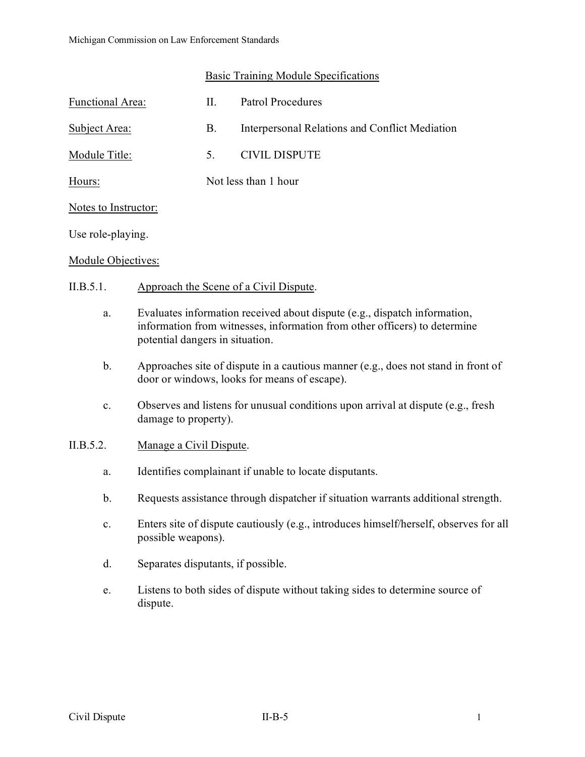# Basic Training Module Specifications

| <b>Functional Area:</b> | Н.                   | <b>Patrol Procedures</b>                       |
|-------------------------|----------------------|------------------------------------------------|
| Subject Area:           | Β.                   | Interpersonal Relations and Conflict Mediation |
| Module Title:           | 5.                   | <b>CIVIL DISPUTE</b>                           |
| Hours:                  | Not less than 1 hour |                                                |
| Notes to Instructor:    |                      |                                                |
| Use role-playing.       |                      |                                                |
|                         |                      |                                                |

#### Module Objectives:

# II.B.5.1. Approach the Scene of a Civil Dispute.

- a. Evaluates information received about dispute (e.g., dispatch information, information from witnesses, information from other officers) to determine potential dangers in situation.
- b. Approaches site of dispute in a cautious manner (e.g., does not stand in front of door or windows, looks for means of escape).
- c. Observes and listens for unusual conditions upon arrival at dispute (e.g., fresh damage to property).

# II.B.5.2. Manage a Civil Dispute.

- a. Identifies complainant if unable to locate disputants.
- b. Requests assistance through dispatcher if situation warrants additional strength.
- c. Enters site of dispute cautiously (e.g., introduces himself/herself, observes for all possible weapons).
- d. Separates disputants, if possible.
- e. Listens to both sides of dispute without taking sides to determine source of dispute.